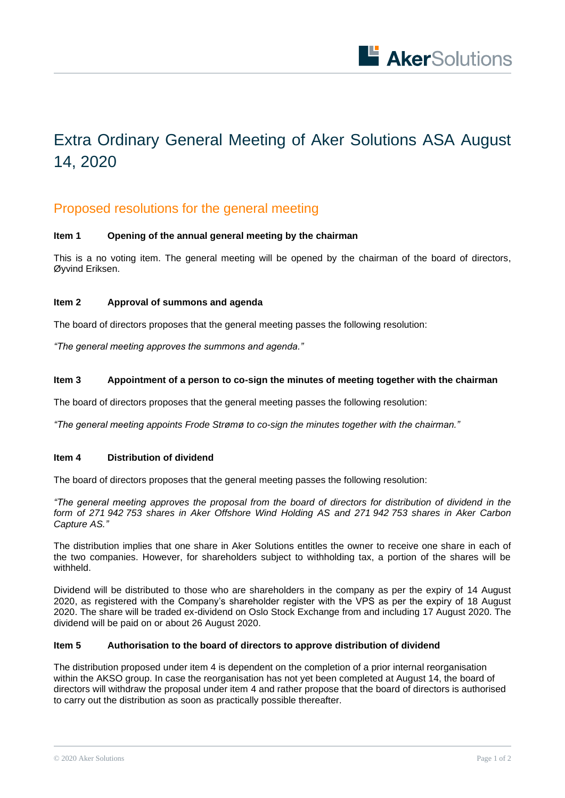

# Extra Ordinary General Meeting of Aker Solutions ASA August 14, 2020

# Proposed resolutions for the general meeting

## **Item 1 Opening of the annual general meeting by the chairman**

This is a no voting item. The general meeting will be opened by the chairman of the board of directors, Øyvind Eriksen.

### **Item 2 Approval of summons and agenda**

The board of directors proposes that the general meeting passes the following resolution:

*"The general meeting approves the summons and agenda."*

#### **Item 3 Appointment of a person to co-sign the minutes of meeting together with the chairman**

The board of directors proposes that the general meeting passes the following resolution:

*"The general meeting appoints Frode Strømø to co-sign the minutes together with the chairman."*

#### **Item 4 Distribution of dividend**

The board of directors proposes that the general meeting passes the following resolution:

*"The general meeting approves the proposal from the board of directors for distribution of dividend in the form of 271 942 753 shares in Aker Offshore Wind Holding AS and 271 942 753 shares in Aker Carbon Capture AS."*

The distribution implies that one share in Aker Solutions entitles the owner to receive one share in each of the two companies. However, for shareholders subject to withholding tax, a portion of the shares will be withheld.

Dividend will be distributed to those who are shareholders in the company as per the expiry of 14 August 2020, as registered with the Company's shareholder register with the VPS as per the expiry of 18 August 2020. The share will be traded ex-dividend on Oslo Stock Exchange from and including 17 August 2020. The dividend will be paid on or about 26 August 2020.

#### **Item 5 Authorisation to the board of directors to approve distribution of dividend**

The distribution proposed under item 4 is dependent on the completion of a prior internal reorganisation within the AKSO group. In case the reorganisation has not yet been completed at August 14, the board of directors will withdraw the proposal under item 4 and rather propose that the board of directors is authorised to carry out the distribution as soon as practically possible thereafter.